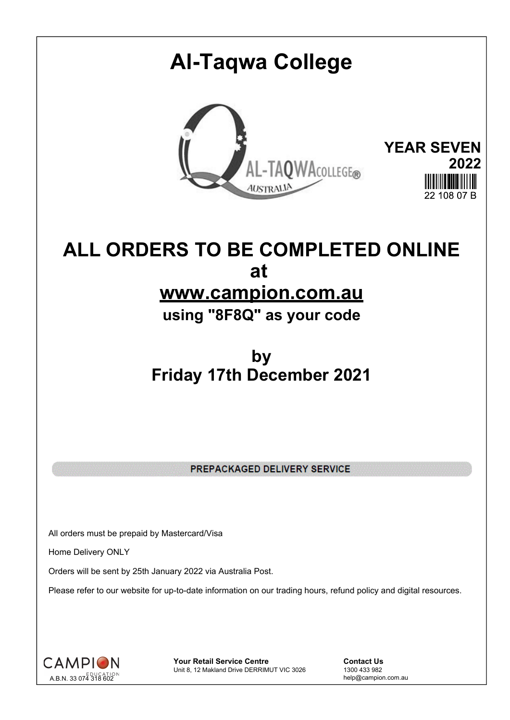# **Al-Taqwa College YEAR SEVEN** AL-TAQWACOLLEGE® **2022** 22.108.07 B

## **ALL ORDERS TO BE COMPLETED ONLINE at www.campion.com.au**

**using "8F8Q" as your code**

## **by Friday 17th December 2021**

PREPACKAGED DELIVERY SERVICE

All orders must be prepaid by Mastercard/Visa

Home Delivery ONLY

Orders will be sent by 25th January 2022 via Australia Post.

Please refer to our website for up-to-date information on our trading hours, refund policy and digital resources.



**Your Retail Service Centre Contact Us**<br>
Unit 8, 12 Makland Drive DERRIMUT VIC 3026
1300 433 982 Unit 8, 12 Makland Drive DERRIMUT VIC 3026

help@campion.com.au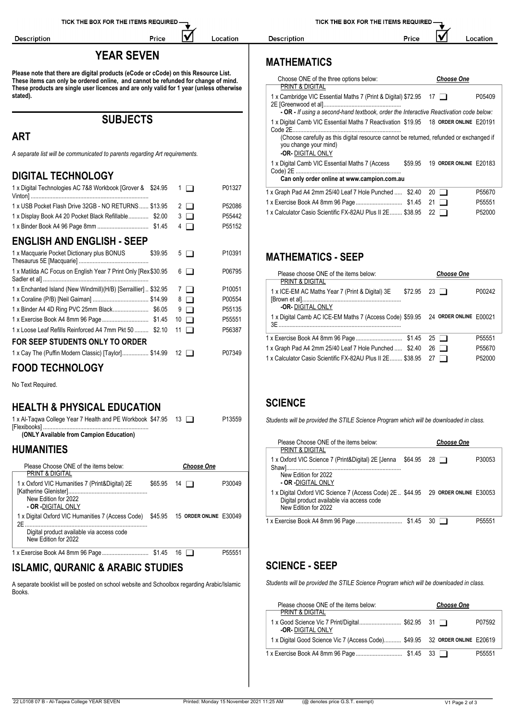Description

#### **YEAR SEVEN**

IV

Location

Price

**Please note that there are digital products (eCode or cCode) on this Resource List. These items can only be ordered online, and cannot be refunded for change of mind. These products are single user licences and are only valid for 1 year (unless otherwise stated).**

**SUBJECTS**

### **ART**

*A separate list will be communicated to parents regarding Art requirements.*

#### **DIGITAL TECHNOLOGY**

| 1 x Digital Technologies AC 7&8 Workbook [Grover & \$24.95      | $1$ $\Box$  | P01327 | 1 x Graph Pad A4 2mm 25/40 Leaf 7 Hole Punched  \$2.40 20                       |                   | P55670 |
|-----------------------------------------------------------------|-------------|--------|---------------------------------------------------------------------------------|-------------------|--------|
| 1 x USB Pocket Flash Drive 32GB - NO RETURNS  \$13.95           | $2 \Box$    | P52086 |                                                                                 |                   | P55551 |
| 1 x Display Book A4 20 Pocket Black Refillable \$2.00           | $3 \Box$    | P55442 | 1 x Calculator Casio Scientific FX-82AU Plus II 2E \$38.95 22                   |                   | P52000 |
|                                                                 | $4\Box$     | P55152 |                                                                                 |                   |        |
| <b>ENGLISH AND ENGLISH - SEEP</b>                               |             |        |                                                                                 |                   |        |
| 1 x Macquarie Pocket Dictionary plus BONUS<br>\$39.95           | $5\Box$     | P10391 | <b>MATHEMATICS - SEEP</b>                                                       |                   |        |
| 1 x Matilda AC Focus on English Year 7 Print Only [Rex \$30.95  | $6 \Box$    | P06795 | Please choose ONE of the items below:<br><b>PRINT &amp; DIGITAL</b>             | <b>Choose One</b> |        |
| 1 x Enchanted Island (New Windmill)(H/B) [Serraillier]  \$32.95 | 7 I I       | P10051 | 1 x ICE-EM AC Maths Year 7 (Print & Digital) 3E<br>\$72.95                      | 23 $\Box$         | P00242 |
|                                                                 | $8\Box$     | P00554 |                                                                                 |                   |        |
|                                                                 | $9\Box$     | P55135 | -OR-DIGITAL ONLY                                                                |                   |        |
|                                                                 | $10$ $\Box$ | P55551 | 1 x Digital Camb AC ICE-EM Maths 7 (Access Code) \$59.95 24 ORDER ONLINE E00021 |                   |        |
| 1x Loose Leaf Refills Reinforced A4 7mm Pkt 50  \$2.10 11       |             | P56387 |                                                                                 |                   |        |
| FOR SEEP STUDENTS ONLY TO ORDER                                 |             |        |                                                                                 |                   | P55551 |
| 1 x Cay The (Puffin Modern Classic) [Taylor] \$14.99 12         |             | P07349 | 1 x Graph Pad A4 2mm 25/40 Leaf 7 Hole Punched  \$2.40 26 $\Box$                |                   | P55670 |
|                                                                 |             |        | 1 x Calculator Casio Scientific FX-82AU Plus II 2E \$38.95 27                   |                   | P52000 |
| <b>FOOD TECHNOLOGY</b>                                          |             |        |                                                                                 |                   |        |

No Text Required.

#### **HEALTH & PHYSICAL EDUCATION**

1 x Al-Taqwa College Year 7 Health and PE Workbook [Flexibooks] .................................................................... \$47.95 <sup>13</sup> P13559

**(ONLY Available from Campion Education)**

#### **HUMANITIES**

| Please Choose ONE of the items below:                                                                                                                       |         | <b>Choose One</b> | I X OXTORO VIL SCIENCE / (PI |                                                                                                                                  |
|-------------------------------------------------------------------------------------------------------------------------------------------------------------|---------|-------------------|------------------------------|----------------------------------------------------------------------------------------------------------------------------------|
| PRINT & DIGITAL<br>1 x Oxford VIC Humanities 7 (Print&Digital) 2E<br>New Edition for 2022<br><b>- OR -</b> DIGITAL ONLY                                     | \$65.95 | 14 $\Box$         | P30049                       | New Edition for 2022<br>- OR -DIGITAL ONLY<br>1 x Digital Oxford VIC Sciend<br>Digital product available<br>New Edition for 2022 |
| 1 x Digital Oxford VIC Humanities 7 (Access Code) \$45.95 15 ORDER ONLINE E30049<br>2F<br>Digital product available via access code<br>New Edition for 2022 |         |                   |                              | 1 x Exercise Book A4 8mm 96                                                                                                      |
|                                                                                                                                                             |         |                   | P <sub>55551</sub>           |                                                                                                                                  |

#### **ISLAMIC, QURANIC & ARABIC STUDIES**

A separate booklist will be posted on school website and Schoolbox regarding Arabic/Islamic Books.

TICK THE BOX FOR THE ITEMS REQUIRED-

Price

Description

|  | ocation |
|--|---------|
|--|---------|

### **MATHEMATICS**

| Choose ONE of the three options below:<br>PRINT & DIGITAL                                                                                                                                                                              | <b>Choose One</b>      |        |
|----------------------------------------------------------------------------------------------------------------------------------------------------------------------------------------------------------------------------------------|------------------------|--------|
| 1 x Cambridge VIC Essential Maths 7 (Print & Digital) \$72.95<br>- OR - If using a second-hand textbook, order the Interactive Reactivation code below:                                                                                | $17 \parallel$         | P05409 |
| 1 x Digital Camb VIC Essential Maths 7 Reactivation \$19.95 18 ORDER ONLINE E20191<br>Code 2E.<br>(Choose carefully as this digital resource cannot be returned, refunded or exchanged if<br>you change your mind)<br>-OR-DIGITAL ONLY |                        |        |
| 1 x Digital Camb VIC Essential Maths 7 (Access<br>\$59.95<br>Can only order online at www.campion.com.au                                                                                                                               | 19 ORDER ONLINE E20183 |        |
| 1 x Graph Pad A4 2mm 25/40 Leaf 7 Hole Punched  \$2.40                                                                                                                                                                                 | $20 \mid \mid$         | P55670 |
|                                                                                                                                                                                                                                        | 21                     | P55551 |
| 1 x Calculator Casio Scientific FX-82AU Plus II 2E \$38.95                                                                                                                                                                             | 22                     | P52000 |

| Please choose ONE of the items below:<br><b>PRINT &amp; DIGITAL</b>                   | <b>Choose One</b>  |        |
|---------------------------------------------------------------------------------------|--------------------|--------|
| 1 x ICE-EM AC Maths Year 7 (Print & Digital) 3E<br><b>-OR-DIGITAL ONLY</b>            | $$72.95$ 23 $\Box$ | P00242 |
| 1 x Digital Camb AC ICE-EM Maths 7 (Access Code) \$59.95 24 ORDER ONLINE E00021<br>3F |                    |        |
|                                                                                       |                    | P55551 |
| 1 x Graph Pad A4 2mm 25/40 Leaf 7 Hole Punched  \$2.40 26                             |                    | P55670 |
| 1 x Calculator Casio Scientific FX-82AU Plus II 2E \$38.95                            | 27 $\Box$          | P52000 |
|                                                                                       |                    |        |

#### **SCIENCE**

*Students will be provided the STILE Science Program which will be downloaded in class.*

| Please Choose ONE of the items below:                                                                                                                  |                 | <b>Choose One</b> |        |
|--------------------------------------------------------------------------------------------------------------------------------------------------------|-----------------|-------------------|--------|
| PRINT & DIGITAL<br>1 x Oxford VIC Science 7 (Print&Digital) 2E [Jenna                                                                                  | \$64.95<br>28 T |                   | P30053 |
| New Edition for 2022<br>- OR -DIGITAL ONLY                                                                                                             |                 |                   |        |
| 1 x Digital Oxford VIC Science 7 (Access Code) 2E  \$44.95 29 ORDER ONLINE E30053<br>Digital product available via access code<br>New Edition for 2022 |                 |                   |        |
|                                                                                                                                                        |                 |                   | P55551 |

#### **SCIENCE - SEEP**

*Students will be provided the STILE Science Program which will be downloaded in class.*

| Please choose ONE of the items below:                                       | <b>Choose One</b> |        |
|-----------------------------------------------------------------------------|-------------------|--------|
| <b>PRINT &amp; DIGITAL</b>                                                  |                   |        |
| <b>-OR-DIGITAL ONLY</b>                                                     |                   | P07592 |
| 1 x Digital Good Science Vic 7 (Access Code) \$49.95 32 ORDER ONLINE E20619 |                   |        |
|                                                                             |                   | P55551 |